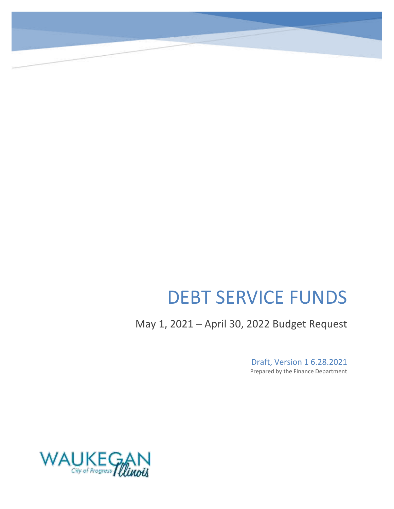# DEBT SERVICE FUNDS

May 1, 2021 – April 30, 2022 Budget Request

Draft, Version 1 6.28.2021 Prepared by the Finance Department

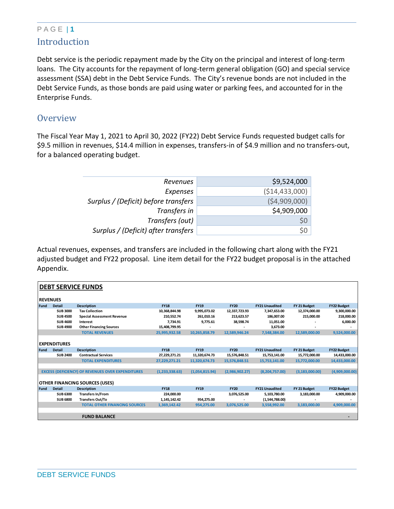#### P A G E | **1** Introduction

Debt service is the periodic repayment made by the City on the principal and interest of long-term loans. The City accounts for the repayment of long-term general obligation (GO) and special service assessment (SSA) debt in the Debt Service Funds. The City's revenue bonds are not included in the Debt Service Funds, as those bonds are paid using water or parking fees, and accounted for in the Enterprise Funds.

#### **Overview**

The Fiscal Year May 1, 2021 to April 30, 2022 (FY22) Debt Service Funds requested budget calls for \$9.5 million in revenues, \$14.4 million in expenses, transfers-in of \$4.9 million and no transfers-out, for a balanced operating budget.

| Revenues                             | \$9,524,000     |
|--------------------------------------|-----------------|
| Expenses                             | ( \$14,433,000) |
| Surplus / (Deficit) before transfers | (\$4,909,000)   |
| Transfers in                         | \$4,909,000     |
| Transfers (out)                      | \$0             |
| Surplus / (Deficit) after transfers  | \$0             |
|                                      |                 |

Actual revenues, expenses, and transfers are included in the following chart along with the FY21 adjusted budget and FY22 proposal. Line item detail for the FY22 budget proposal is in the attached Appendix.

|                 | <b>DEBT SERVICE FUNDS</b> |                                                          |                  |                |                |                       |                  |                    |  |
|-----------------|---------------------------|----------------------------------------------------------|------------------|----------------|----------------|-----------------------|------------------|--------------------|--|
| <b>REVENUES</b> |                           |                                                          |                  |                |                |                       |                  |                    |  |
| Fund            | <b>Detail</b>             | <b>Description</b>                                       | <b>FY18</b>      | <b>FY19</b>    | <b>FY20</b>    | <b>FY21 Unaudited</b> | FY 21 Budget     | <b>FY22 Budget</b> |  |
|                 | <b>SUB 3000</b>           | <b>Tax Collection</b>                                    | 10,368,844.98    | 9,995,073.02   | 12,337,723.93  | 7,347,653.00          | 12,374,000.00    | 9,300,000.00       |  |
|                 | <b>SUB4500</b>            | <b>Special Assessment Revenue</b>                        | 210,552.74       | 261,010.16     | 213,623.57     | 186,007.00            | 215,000.00       | 218,000.00         |  |
|                 | <b>SUB 4600</b>           | Interest                                                 | 7,734.91         | 9,775.61       | 38,598.74      | 11,051.00             |                  | 6,000.00           |  |
|                 | <b>SUB4900</b>            | <b>Other Financing Sources</b>                           | 15,408,799.95    |                |                | 3,673.00              |                  |                    |  |
|                 |                           | <b>TOTAL REVENUES</b>                                    | 25,995,932.58    | 10,265,858.79  | 12,589,946.24  | 7,548,384.00          | 12,589,000.00    | 9,524,000.00       |  |
|                 |                           |                                                          |                  |                |                |                       |                  |                    |  |
|                 | <b>EXPENDITURES</b>       |                                                          |                  |                |                |                       |                  |                    |  |
| Fund            | <b>Detail</b>             | <b>Description</b>                                       | <b>FY18</b>      | <b>FY19</b>    | <b>FY20</b>    | <b>FY21 Unaudited</b> | FY 21 Budget     | <b>FY22 Budget</b> |  |
|                 | <b>SUB 2400</b>           | <b>Contractual Services</b>                              | 27,229,271.21    | 11,320,674.73  | 15,576,848.51  | 15,753,141.00         | 15,772,000.00    | 14,433,000.00      |  |
|                 |                           | <b>TOTAL EXPENDITURES</b>                                | 27,229,271.21    | 11,320,674.73  | 15,576,848.51  | 15,753,141.00         | 15,772,000.00    | 14,433,000.00      |  |
|                 |                           |                                                          |                  |                |                |                       |                  |                    |  |
|                 |                           | <b>EXCESS (DEFICIENCY) OF REVENUES OVER EXPENDITURES</b> | (1, 233, 338.63) | (1,054,815.94) | (2,986,902.27) | (8, 204, 757.00)      | (3, 183, 000.00) | (4,909,000.00)     |  |
|                 |                           |                                                          |                  |                |                |                       |                  |                    |  |
|                 |                           | <b>OTHER FINANCING SOURCES (USES)</b>                    |                  |                |                |                       |                  |                    |  |
| l Fund          | <b>Detail</b>             | <b>Description</b>                                       | <b>FY18</b>      | <b>FY19</b>    | <b>FY20</b>    | <b>FY21 Unaudited</b> | FY 21 Budget     | <b>FY22 Budget</b> |  |
|                 | <b>SUB 6300</b>           | <b>Transfers In/From</b>                                 | 224,000.00       |                | 3,076,525.00   | 5,103,780.00          | 3,183,000.00     | 4,909,000.00       |  |
|                 | <b>SUB 6800</b>           | <b>Transfers Out/To</b>                                  | 1,145,142.42     | 954,275.00     |                | (1,544,788.00)        |                  |                    |  |
|                 |                           | <b>TOTAL OTHER FINANCING SOURCES</b>                     | 1,369,142.42     | 954,275.00     | 3,076,525.00   | 3,558,992.00          | 3,183,000.00     | 4,909,000.00       |  |
|                 |                           |                                                          |                  |                |                |                       |                  |                    |  |
|                 |                           | <b>FUND BALANCE</b>                                      |                  |                |                |                       |                  |                    |  |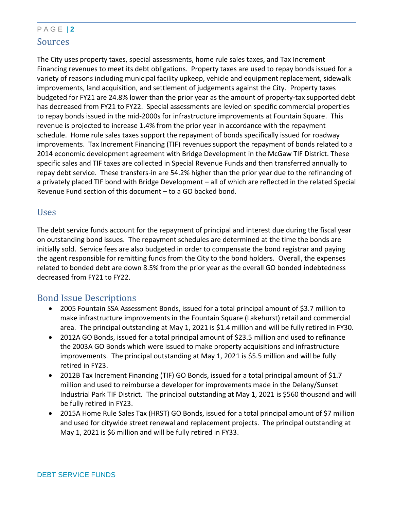### P A G E | **2** Sources

The City uses property taxes, special assessments, home rule sales taxes, and Tax Increment Financing revenues to meet its debt obligations. Property taxes are used to repay bonds issued for a variety of reasons including municipal facility upkeep, vehicle and equipment replacement, sidewalk improvements, land acquisition, and settlement of judgements against the City. Property taxes budgeted for FY21 are 24.8% lower than the prior year as the amount of property-tax supported debt has decreased from FY21 to FY22. Special assessments are levied on specific commercial properties to repay bonds issued in the mid-2000s for infrastructure improvements at Fountain Square. This revenue is projected to increase 1.4% from the prior year in accordance with the repayment schedule. Home rule sales taxes support the repayment of bonds specifically issued for roadway improvements. Tax Increment Financing (TIF) revenues support the repayment of bonds related to a 2014 economic development agreement with Bridge Development in the McGaw TIF District. These specific sales and TIF taxes are collected in Special Revenue Funds and then transferred annually to repay debt service. These transfers-in are 54.2% higher than the prior year due to the refinancing of a privately placed TIF bond with Bridge Development – all of which are reflected in the related Special Revenue Fund section of this document – to a GO backed bond.

#### Uses

The debt service funds account for the repayment of principal and interest due during the fiscal year on outstanding bond issues. The repayment schedules are determined at the time the bonds are initially sold. Service fees are also budgeted in order to compensate the bond registrar and paying the agent responsible for remitting funds from the City to the bond holders. Overall, the expenses related to bonded debt are down 8.5% from the prior year as the overall GO bonded indebtedness decreased from FY21 to FY22.

#### Bond Issue Descriptions

- 2005 Fountain SSA Assessment Bonds, issued for a total principal amount of \$3.7 million to make infrastructure improvements in the Fountain Square (Lakehurst) retail and commercial area. The principal outstanding at May 1, 2021 is \$1.4 million and will be fully retired in FY30.
- 2012A GO Bonds, issued for a total principal amount of \$23.5 million and used to refinance the 2003A GO Bonds which were issued to make property acquisitions and infrastructure improvements. The principal outstanding at May 1, 2021 is \$5.5 million and will be fully retired in FY23.
- 2012B Tax Increment Financing (TIF) GO Bonds, issued for a total principal amount of \$1.7 million and used to reimburse a developer for improvements made in the Delany/Sunset Industrial Park TIF District. The principal outstanding at May 1, 2021 is \$560 thousand and will be fully retired in FY23.
- 2015A Home Rule Sales Tax (HRST) GO Bonds, issued for a total principal amount of \$7 million and used for citywide street renewal and replacement projects. The principal outstanding at May 1, 2021 is \$6 million and will be fully retired in FY33.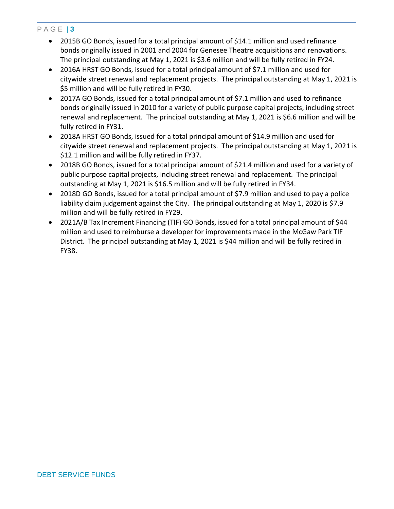- 2015B GO Bonds, issued for a total principal amount of \$14.1 million and used refinance bonds originally issued in 2001 and 2004 for Genesee Theatre acquisitions and renovations. The principal outstanding at May 1, 2021 is \$3.6 million and will be fully retired in FY24.
- 2016A HRST GO Bonds, issued for a total principal amount of \$7.1 million and used for citywide street renewal and replacement projects. The principal outstanding at May 1, 2021 is \$5 million and will be fully retired in FY30.
- 2017A GO Bonds, issued for a total principal amount of \$7.1 million and used to refinance bonds originally issued in 2010 for a variety of public purpose capital projects, including street renewal and replacement. The principal outstanding at May 1, 2021 is \$6.6 million and will be fully retired in FY31.
- 2018A HRST GO Bonds, issued for a total principal amount of \$14.9 million and used for citywide street renewal and replacement projects. The principal outstanding at May 1, 2021 is \$12.1 million and will be fully retired in FY37.
- 2018B GO Bonds, issued for a total principal amount of \$21.4 million and used for a variety of public purpose capital projects, including street renewal and replacement. The principal outstanding at May 1, 2021 is \$16.5 million and will be fully retired in FY34.
- 2018D GO Bonds, issued for a total principal amount of \$7.9 million and used to pay a police liability claim judgement against the City. The principal outstanding at May 1, 2020 is \$7.9 million and will be fully retired in FY29.
- 2021A/B Tax Increment Financing (TIF) GO Bonds, issued for a total principal amount of \$44 million and used to reimburse a developer for improvements made in the McGaw Park TIF District. The principal outstanding at May 1, 2021 is \$44 million and will be fully retired in FY38.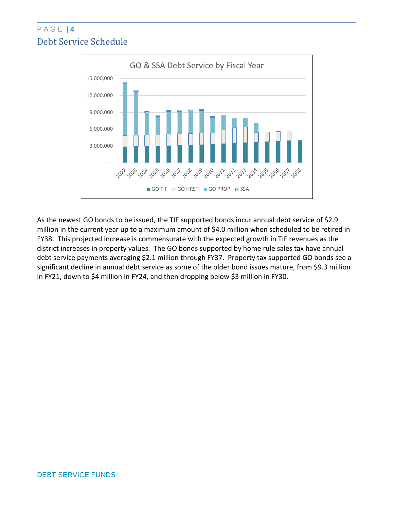### P A G E | **4** Debt Service Schedule



As the newest GO bonds to be issued, the TIF supported bonds incur annual debt service of \$2.9 million in the current year up to a maximum amount of \$4.0 million when scheduled to be retired in FY38. This projected increase is commensurate with the expected growth in TIF revenues as the district increases in property values. The GO bonds supported by home rule sales tax have annual debt service payments averaging \$2.1 million through FY37. Property tax supported GO bonds see a significant decline in annual debt service as some of the older bond issues mature, from \$9.3 million in FY21, down to \$4 million in FY24, and then dropping below \$3 million in FY30.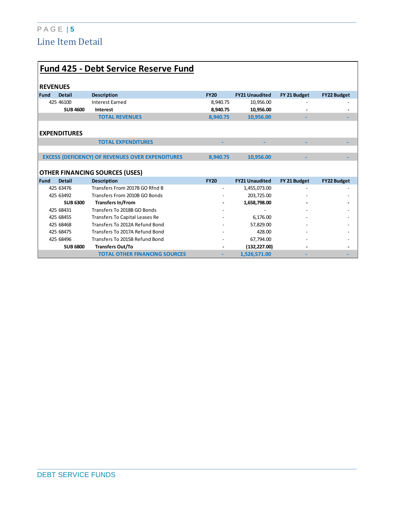### P A G E | **5** Line Item Detail

|             | <b>Fund 425 - Debt Service Reserve Fund</b> |                                                          |                          |                       |              |                    |  |  |  |  |  |
|-------------|---------------------------------------------|----------------------------------------------------------|--------------------------|-----------------------|--------------|--------------------|--|--|--|--|--|
|             | <b>REVENUES</b>                             |                                                          |                          |                       |              |                    |  |  |  |  |  |
| <b>Fund</b> | <b>Detail</b>                               | <b>Description</b>                                       | <b>FY20</b>              | <b>FY21 Unaudited</b> | FY 21 Budget | <b>FY22 Budget</b> |  |  |  |  |  |
|             | 425 46100                                   | <b>Interest Earned</b>                                   | 8,940.75                 | 10,956.00             |              |                    |  |  |  |  |  |
|             | <b>SUB 4600</b>                             | Interest                                                 | 8,940.75                 | 10,956.00             |              |                    |  |  |  |  |  |
|             |                                             | <b>TOTAL REVENUES</b>                                    | 8,940.75                 | 10,956.00             |              |                    |  |  |  |  |  |
|             |                                             |                                                          |                          |                       |              |                    |  |  |  |  |  |
|             | <b>EXPENDITURES</b>                         |                                                          |                          |                       |              |                    |  |  |  |  |  |
|             |                                             | <b>TOTAL EXPENDITURES</b>                                |                          |                       |              |                    |  |  |  |  |  |
|             |                                             |                                                          |                          |                       |              |                    |  |  |  |  |  |
|             |                                             | <b>EXCESS (DEFICIENCY) OF REVENUES OVER EXPENDITURES</b> | 8.940.75                 | 10.956.00             |              |                    |  |  |  |  |  |
|             |                                             |                                                          |                          |                       |              |                    |  |  |  |  |  |
|             |                                             | <b>OTHER FINANCING SOURCES (USES)</b>                    |                          |                       |              |                    |  |  |  |  |  |
| <b>Fund</b> | <b>Detail</b>                               | <b>Description</b>                                       | <b>FY20</b>              | <b>FY21 Unaudited</b> | FY 21 Budget | <b>FY22 Budget</b> |  |  |  |  |  |
|             | 425 63476                                   | Transfers From 2017B GO Rfnd B                           | $\overline{\phantom{a}}$ | 1,455,073.00          |              |                    |  |  |  |  |  |
|             | 425 63492                                   | Transfers From 2010B GO Bonds                            |                          | 203,725.00            |              |                    |  |  |  |  |  |
|             | <b>SUB 6300</b>                             | <b>Transfers In/From</b>                                 |                          | 1,658,798.00          |              |                    |  |  |  |  |  |
|             | 425 68431                                   | Transfers To 2018B GO Bonds                              |                          |                       |              |                    |  |  |  |  |  |
|             | 425 68455                                   | Transfers To Capital Leases Re                           |                          | 6,176.00              |              |                    |  |  |  |  |  |
|             | 425 68468                                   | Transfers To 2012A Refund Bond                           |                          | 57,829.00             |              |                    |  |  |  |  |  |
|             | 425 68475                                   | Transfers To 2017A Refund Bond                           |                          | 428.00                |              |                    |  |  |  |  |  |
|             | 425 68496                                   | Transfers To 2015B Refund Bond                           |                          | 67,794.00             |              |                    |  |  |  |  |  |
|             | <b>SUB 6800</b>                             | <b>Transfers Out/To</b>                                  |                          | (132, 227.00)         |              |                    |  |  |  |  |  |
|             |                                             | <b>TOTAL OTHER FINANCING SOURCES</b>                     | ٠                        | 1,526,571.00          |              |                    |  |  |  |  |  |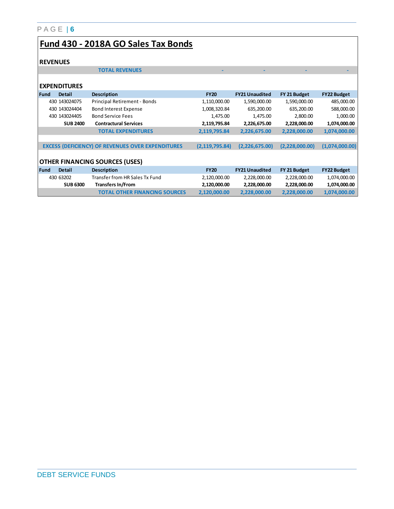| Fund 430 - 2018A GO Sales Tax Bonds |
|-------------------------------------|
|-------------------------------------|

#### **REVENUES**

|      | <b>REVENUES</b>     |                                                          |                  |                       |                |                    |
|------|---------------------|----------------------------------------------------------|------------------|-----------------------|----------------|--------------------|
|      |                     | <b>TOTAL REVENUES</b>                                    |                  |                       |                |                    |
|      |                     |                                                          |                  |                       |                |                    |
|      | <b>EXPENDITURES</b> |                                                          |                  |                       |                |                    |
| Fund | <b>Detail</b>       | <b>Description</b>                                       | <b>FY20</b>      | <b>FY21 Unaudited</b> | FY 21 Budget   | <b>FY22 Budget</b> |
|      | 430 1430 24075      | Principal Retirement - Bonds                             | 1,110,000.00     | 1,590,000.00          | 1,590,000.00   | 485,000.00         |
|      | 430 143024404       | Bond Interest Expense                                    | 1,008,320.84     | 635,200.00            | 635,200.00     | 588,000.00         |
|      | 430 1430 24405      | <b>Bond Service Fees</b>                                 | 1,475.00         | 1,475.00              | 2,800.00       | 1,000.00           |
|      | <b>SUB 2400</b>     | <b>Contractural Services</b>                             | 2,119,795.84     | 2,226,675.00          | 2,228,000.00   | 1,074,000.00       |
|      |                     | <b>TOTAL EXPENDITURES</b>                                | 2,119,795.84     | 2,226,675.00          | 2,228,000.00   | 1,074,000.00       |
|      |                     |                                                          |                  |                       |                |                    |
|      |                     | <b>EXCESS (DEFICIENCY) OF REVENUES OVER EXPENDITURES</b> | (2, 119, 795.84) | (2,226,675.00)        | (2,228,000.00) | (1,074,000.00)     |
|      |                     |                                                          |                  |                       |                |                    |
|      |                     | <b>OTHER FINANCING SOURCES (USES)</b>                    |                  |                       |                |                    |
| Fund | <b>Detail</b>       | <b>Description</b>                                       | <b>FY20</b>      | <b>FY21 Unaudited</b> | FY 21 Budget   | <b>FY22 Budget</b> |
|      | 430 63202           | Transfer from HR Sales Tx Fund                           | 2,120,000.00     | 2,228,000.00          | 2,228,000.00   | 1,074,000.00       |
|      | <b>SUB 6300</b>     | <b>Transfers In/From</b>                                 | 2,120,000.00     | 2,228,000.00          | 2,228,000.00   | 1,074,000.00       |
|      |                     | <b>TOTAL OTHER FINANCING SOURCES</b>                     | 2,120,000.00     | 2,228,000.00          | 2,228,000.00   | 1,074,000.00       |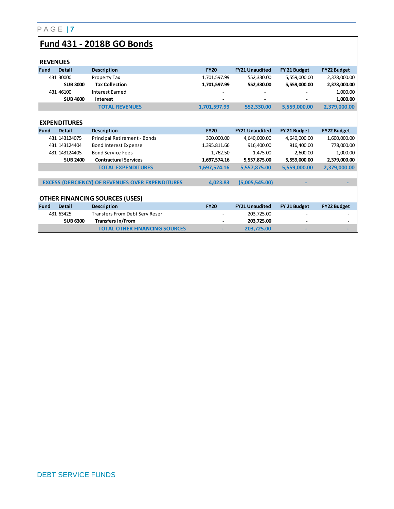# **Fund 431 - 2018B GO Bonds**

| <b>REVENUES</b> |                     |                                                          |              |                       |              |                    |
|-----------------|---------------------|----------------------------------------------------------|--------------|-----------------------|--------------|--------------------|
| Fund            | <b>Detail</b>       | <b>Description</b>                                       | <b>FY20</b>  | <b>FY21 Unaudited</b> | FY 21 Budget | <b>FY22 Budget</b> |
|                 | 431 30000           | Property Tax                                             | 1,701,597.99 | 552,330.00            | 5,559,000.00 | 2,378,000.00       |
|                 | <b>SUB 3000</b>     | <b>Tax Collection</b>                                    | 1,701,597.99 | 552,330.00            | 5,559,000.00 | 2,378,000.00       |
|                 | 431 46100           | <b>Interest Earned</b>                                   |              |                       |              | 1,000.00           |
|                 | <b>SUB 4600</b>     | Interest                                                 |              |                       |              | 1,000.00           |
|                 |                     | <b>TOTAL REVENUES</b>                                    | 1,701,597.99 | 552,330.00            | 5,559,000.00 | 2,379,000.00       |
|                 |                     |                                                          |              |                       |              |                    |
|                 | <b>EXPENDITURES</b> |                                                          |              |                       |              |                    |
| <b>Fund</b>     | <b>Detail</b>       | <b>Description</b>                                       | <b>FY20</b>  | <b>FY21 Unaudited</b> | FY 21 Budget | <b>FY22 Budget</b> |
|                 | 431 1431 24075      | Principal Retirement - Bonds                             | 300,000.00   | 4,640,000.00          | 4,640,000.00 | 1,600,000.00       |
|                 | 431 1431 2440 4     | <b>Bond Interest Expense</b>                             | 1,395,811.66 | 916.400.00            | 916,400.00   | 778,000.00         |
|                 | 431 1431 24405      | <b>Bond Service Fees</b>                                 | 1,762.50     | 1,475.00              | 2,600.00     | 1,000.00           |
|                 | <b>SUB 2400</b>     | <b>Contractural Services</b>                             | 1,697,574.16 | 5,557,875.00          | 5,559,000.00 | 2,379,000.00       |
|                 |                     | <b>TOTAL EXPENDITURES</b>                                | 1,697,574.16 | 5,557,875.00          | 5,559,000.00 | 2,379,000.00       |
|                 |                     |                                                          |              |                       |              |                    |
|                 |                     | <b>EXCESS (DEFICIENCY) OF REVENUES OVER EXPENDITURES</b> | 4,023.83     | (5,005,545.00)        |              |                    |
|                 |                     |                                                          |              |                       |              |                    |
|                 |                     | <b>OTHER FINANCING SOURCES (USES)</b>                    |              |                       |              |                    |
| Fund            | <b>Detail</b>       | <b>Description</b>                                       | <b>FY20</b>  | <b>FY21 Unaudited</b> | FY 21 Budget | <b>FY22 Budget</b> |
|                 | 431 63425           | <b>Transfers From Debt Serv Reser</b>                    |              | 203,725.00            |              |                    |
|                 | <b>SUB 6300</b>     | <b>Transfers In/From</b>                                 |              | 203,725.00            |              |                    |
|                 |                     | <b>TOTAL OTHER FINANCING SOURCES</b>                     |              | 203,725.00            |              |                    |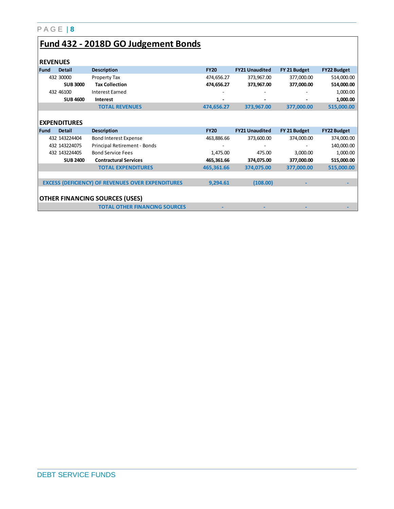# **Fund 432 - 2018D GO Judgement Bonds**

|      | <b>REVENUES</b>     |                                                          |             |                       |              |                    |
|------|---------------------|----------------------------------------------------------|-------------|-----------------------|--------------|--------------------|
| Fund | <b>Detail</b>       | <b>Description</b>                                       | <b>FY20</b> | <b>FY21 Unaudited</b> | FY 21 Budget | <b>FY22 Budget</b> |
|      | 432 30000           | Property Tax                                             | 474,656.27  | 373,967.00            | 377,000.00   | 514,000.00         |
|      | <b>SUB 3000</b>     | <b>Tax Collection</b>                                    | 474,656.27  | 373,967.00            | 377,000.00   | 514,000.00         |
|      | 432 46100           | <b>Interest Earned</b>                                   |             |                       |              | 1,000.00           |
|      | <b>SUB 4600</b>     | Interest                                                 |             |                       |              | 1,000.00           |
|      |                     | <b>TOTAL REVENUES</b>                                    | 474,656.27  | 373,967.00            | 377,000.00   | 515,000.00         |
|      |                     |                                                          |             |                       |              |                    |
|      | <b>EXPENDITURES</b> |                                                          |             |                       |              |                    |
| Fund | <b>Detail</b>       | <b>Description</b>                                       | <b>FY20</b> | <b>FY21 Unaudited</b> | FY 21 Budget | <b>FY22 Budget</b> |
|      | 432 143224404       | <b>Bond Interest Expense</b>                             | 463,886.66  | 373,600.00            | 374,000.00   | 374,000.00         |
|      | 432 143224075       | Principal Retirement - Bonds                             |             |                       |              | 140,000.00         |
|      | 432 143224405       | <b>Bond Service Fees</b>                                 | 1,475.00    | 475.00                | 3,000.00     | 1,000.00           |
|      | <b>SUB 2400</b>     | <b>Contractural Services</b>                             | 465,361.66  | 374,075.00            | 377,000.00   | 515,000.00         |
|      |                     | <b>TOTAL EXPENDITURES</b>                                | 465,361.66  | 374,075.00            | 377,000.00   | 515,000.00         |
|      |                     |                                                          |             |                       |              |                    |
|      |                     | <b>EXCESS (DEFICIENCY) OF REVENUES OVER EXPENDITURES</b> | 9,294.61    | (108.00)              |              |                    |
|      |                     |                                                          |             |                       |              |                    |
|      |                     | <b>OTHER FINANCING SOURCES (USES)</b>                    |             |                       |              |                    |
|      |                     | <b>TOTAL OTHER FINANCING SOURCES</b>                     |             |                       |              |                    |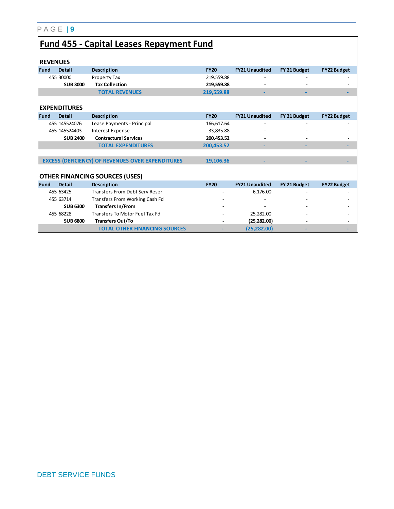# **Fund 455 - Capital Leases Repayment Fund**

|             | <b>REVENUES</b>     |                                                          |             |                       |              |                    |
|-------------|---------------------|----------------------------------------------------------|-------------|-----------------------|--------------|--------------------|
| l Fund      | <b>Detail</b>       | <b>Description</b>                                       | <b>FY20</b> | <b>FY21 Unaudited</b> | FY 21 Budget | <b>FY22 Budget</b> |
|             | 455 30000           | Property Tax                                             | 219,559.88  |                       |              |                    |
|             | <b>SUB 3000</b>     | <b>Tax Collection</b>                                    | 219,559.88  |                       |              |                    |
|             |                     | <b>TOTAL REVENUES</b>                                    | 219,559.88  |                       |              |                    |
|             |                     |                                                          |             |                       |              |                    |
|             | <b>EXPENDITURES</b> |                                                          |             |                       |              |                    |
| <b>Fund</b> | <b>Detail</b>       | <b>Description</b>                                       | <b>FY20</b> | <b>FY21 Unaudited</b> | FY 21 Budget | <b>FY22 Budget</b> |
|             | 455 1455 24076      | Lease Payments - Principal                               | 166,617.64  |                       |              |                    |
|             | 455 1455 2440 3     | <b>Interest Expense</b>                                  | 33,835.88   |                       |              |                    |
|             | <b>SUB 2400</b>     | <b>Contractural Services</b>                             | 200,453.52  |                       |              |                    |
|             |                     | <b>TOTAL EXPENDITURES</b>                                | 200,453.52  |                       |              |                    |
|             |                     |                                                          |             |                       |              |                    |
|             |                     | <b>EXCESS (DEFICIENCY) OF REVENUES OVER EXPENDITURES</b> | 19,106.36   |                       |              |                    |
|             |                     |                                                          |             |                       |              |                    |
|             |                     | <b>OTHER FINANCING SOURCES (USES)</b>                    |             |                       |              |                    |
| l Fund      | <b>Detail</b>       | <b>Description</b>                                       | <b>FY20</b> | <b>FY21 Unaudited</b> | FY 21 Budget | <b>FY22 Budget</b> |
|             | 455 63425           | <b>Transfers From Debt Serv Reser</b>                    |             | 6,176.00              |              |                    |
|             | 455 63714           | Transfers From Working Cash Fd                           |             |                       |              |                    |
|             | <b>SUB 6300</b>     | <b>Transfers In/From</b>                                 |             |                       |              |                    |
|             | 455 68228           | Transfers To Motor Fuel Tax Fd                           |             | 25,282.00             |              |                    |
|             | <b>SUB 6800</b>     | <b>Transfers Out/To</b>                                  |             | (25, 282.00)          |              |                    |
|             |                     | <b>TOTAL OTHER FINANCING SOURCES</b>                     |             | (25, 282.00)          |              |                    |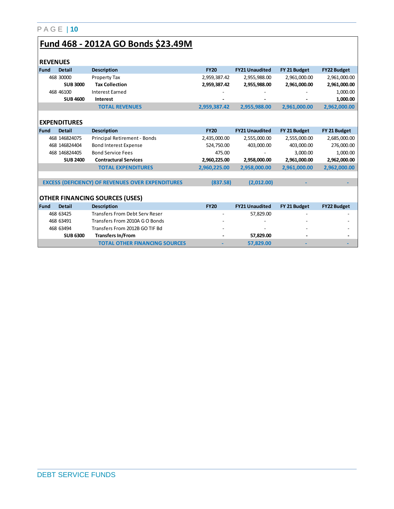# **Fund 468 - 2012A GO Bonds \$23.49M**

| <b>REVENUES</b> |                     |                                                          |              |                       |              |                    |
|-----------------|---------------------|----------------------------------------------------------|--------------|-----------------------|--------------|--------------------|
| Fund            | <b>Detail</b>       | <b>Description</b>                                       | <b>FY20</b>  | <b>FY21 Unaudited</b> | FY 21 Budget | <b>FY22 Budget</b> |
|                 | 468 30000           | Property Tax                                             | 2,959,387.42 | 2,955,988.00          | 2,961,000.00 | 2,961,000.00       |
|                 | <b>SUB3000</b>      | <b>Tax Collection</b>                                    | 2,959,387.42 | 2,955,988.00          | 2,961,000.00 | 2,961,000.00       |
|                 | 468 46100           | <b>Interest Earned</b>                                   |              |                       |              | 1,000.00           |
|                 | <b>SUB 4600</b>     | Interest                                                 |              |                       |              | 1,000.00           |
|                 |                     | <b>TOTAL REVENUES</b>                                    | 2,959,387.42 | 2,955,988.00          | 2,961,000.00 | 2,962,000.00       |
|                 |                     |                                                          |              |                       |              |                    |
|                 | <b>EXPENDITURES</b> |                                                          |              |                       |              |                    |
| Fund            | <b>Detail</b>       | <b>Description</b>                                       | <b>FY20</b>  | <b>FY21 Unaudited</b> | FY 21 Budget | FY 21 Budget       |
|                 | 468 146824075       | Principal Retirement - Bonds                             | 2,435,000.00 | 2,555,000.00          | 2,555,000.00 | 2,685,000.00       |
|                 | 468 146824404       | <b>Bond Interest Expense</b>                             | 524,750.00   | 403,000.00            | 403,000.00   | 276,000.00         |
|                 | 468 146824405       | <b>Bond Service Fees</b>                                 | 475.00       |                       | 3,000.00     | 1,000.00           |
|                 | <b>SUB 2400</b>     | <b>Contractural Services</b>                             | 2,960,225.00 | 2,958,000.00          | 2,961,000.00 | 2,962,000.00       |
|                 |                     | <b>TOTAL EXPENDITURES</b>                                | 2,960,225.00 | 2,958,000.00          | 2,961,000.00 | 2,962,000.00       |
|                 |                     |                                                          |              |                       |              |                    |
|                 |                     | <b>EXCESS (DEFICIENCY) OF REVENUES OVER EXPENDITURES</b> | (837.58)     | (2,012.00)            |              |                    |
|                 |                     |                                                          |              |                       |              |                    |
|                 |                     | <b>OTHER FINANCING SOURCES (USES)</b>                    |              |                       |              |                    |
| Fund            | <b>Detail</b>       | <b>Description</b>                                       | <b>FY20</b>  | <b>FY21 Unaudited</b> | FY 21 Budget | <b>FY22 Budget</b> |
|                 | 468 63425           | <b>Transfers From Debt Serv Reser</b>                    |              | 57,829.00             |              |                    |
|                 | 468 63491           | Transfers From 2010A G O Bonds                           |              |                       |              |                    |
|                 | 468 63494           | Transfers From 2012B GO TIF Bd                           |              |                       |              |                    |
|                 | <b>SUB 6300</b>     | <b>Transfers In/From</b>                                 |              | 57,829.00             |              |                    |
|                 |                     | <b>TOTAL OTHER FINANCING SOURCES</b>                     |              | 57,829.00             |              |                    |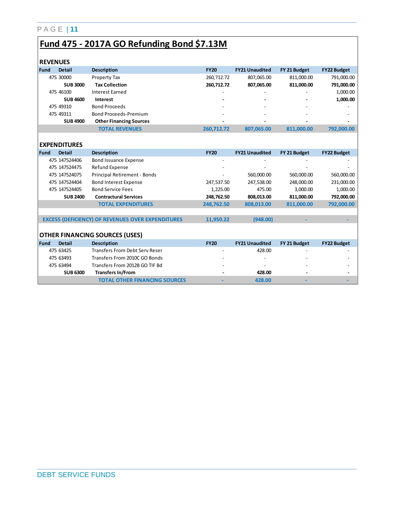# **Fund 475 - 2017A GO Refunding Bond \$7.13M**

|      | <b>REVENUES</b>     |                                                          |             |                       |              |                    |
|------|---------------------|----------------------------------------------------------|-------------|-----------------------|--------------|--------------------|
| Fund | <b>Detail</b>       | <b>Description</b>                                       | <b>FY20</b> | <b>FY21 Unaudited</b> | FY 21 Budget | FY22 Budget        |
|      | 475 30000           | Property Tax                                             | 260,712.72  | 807,065.00            | 811,000.00   | 791,000.00         |
|      | <b>SUB3000</b>      | <b>Tax Collection</b>                                    | 260,712.72  | 807,065.00            | 811,000.00   | 791,000.00         |
|      | 475 46100           | <b>Interest Earned</b>                                   |             |                       |              | 1,000.00           |
|      | <b>SUB4600</b>      | Interest                                                 |             |                       |              | 1,000.00           |
|      | 475 49310           | <b>Bond Proceeds</b>                                     |             |                       |              |                    |
|      | 475 49311           | <b>Bond Proceeds-Premium</b>                             |             |                       |              |                    |
|      | <b>SUB4900</b>      | <b>Other Financing Sources</b>                           |             |                       |              |                    |
|      |                     | <b>TOTAL REVENUES</b>                                    | 260,712.72  | 807,065.00            | 811,000.00   | 792,000.00         |
|      |                     |                                                          |             |                       |              |                    |
|      | <b>EXPENDITURES</b> |                                                          |             |                       |              |                    |
| Fund | <b>Detail</b>       | <b>Description</b>                                       | <b>FY20</b> | <b>FY21 Unaudited</b> | FY 21 Budget | <b>FY22 Budget</b> |
|      | 475 1475 24406      | <b>Bond Issuance Expense</b>                             |             |                       |              |                    |
|      | 475 1475 24475      | Refund Expense                                           |             |                       |              |                    |
|      | 475 1475 24075      | Principal Retirement - Bonds                             |             | 560,000.00            | 560,000.00   | 560,000.00         |
|      | 475 1475 2440 4     | <b>Bond Interest Expense</b>                             | 247,537.50  | 247,538.00            | 248,000.00   | 231,000.00         |
|      | 475 1475 24405      | <b>Bond Service Fees</b>                                 | 1,225.00    | 475.00                | 3,000.00     | 1,000.00           |
|      | <b>SUB 2400</b>     | <b>Contractural Services</b>                             | 248,762.50  | 808,013.00            | 811,000.00   | 792,000.00         |
|      |                     | <b>TOTAL EXPENDITURES</b>                                | 248,762.50  | 808,013.00            | 811,000.00   | 792,000.00         |
|      |                     |                                                          |             |                       |              |                    |
|      |                     | <b>EXCESS (DEFICIENCY) OF REVENUES OVER EXPENDITURES</b> | 11,950.22   | (948.00)              |              |                    |
|      |                     |                                                          |             |                       |              |                    |
|      |                     | <b>OTHER FINANCING SOURCES (USES)</b>                    |             |                       |              |                    |
| Fund | <b>Detail</b>       | <b>Description</b>                                       | <b>FY20</b> | <b>FY21 Unaudited</b> | FY 21 Budget | <b>FY22 Budget</b> |
|      | 475 63425           | <b>Transfers From Debt Serv Reser</b>                    |             | 428.00                |              |                    |
|      | 475 63493           | Transfers From 2010C GO Bonds                            |             |                       |              |                    |
|      | 475 63494           | Transfers From 2012B GO TIF Bd                           |             |                       |              |                    |
|      | <b>SUB 6300</b>     | <b>Transfers In/From</b>                                 |             | 428.00                |              |                    |
|      |                     | <b>TOTAL OTHER FINANCING SOURCES</b>                     |             | 428.00                |              |                    |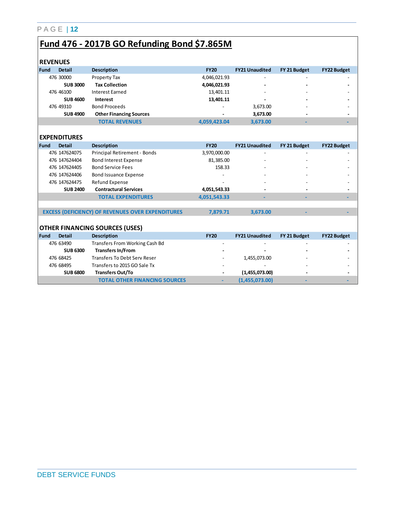### **Fund 476 - 2017B GO Refunding Bond \$7.865M**

| <b>REVENUES</b> |                     |                                                          |              |                       |              |                    |
|-----------------|---------------------|----------------------------------------------------------|--------------|-----------------------|--------------|--------------------|
| Fund            | <b>Detail</b>       | <b>Description</b>                                       | <b>FY20</b>  | <b>FY21 Unaudited</b> | FY 21 Budget | <b>FY22 Budget</b> |
|                 | 476 30000           | Property Tax                                             | 4,046,021.93 |                       |              |                    |
|                 | <b>SUB3000</b>      | <b>Tax Collection</b>                                    | 4,046,021.93 |                       |              |                    |
|                 | 476 46100           | <b>Interest Earned</b>                                   | 13,401.11    |                       |              |                    |
|                 | <b>SUB 4600</b>     | Interest                                                 | 13,401.11    |                       |              |                    |
|                 | 476 49310           | <b>Bond Proceeds</b>                                     |              | 3,673.00              |              |                    |
|                 | <b>SUB4900</b>      | <b>Other Financing Sources</b>                           |              | 3,673.00              |              |                    |
|                 |                     | <b>TOTAL REVENUES</b>                                    | 4,059,423.04 | 3,673.00              |              |                    |
|                 |                     |                                                          |              |                       |              |                    |
|                 | <b>EXPENDITURES</b> |                                                          |              |                       |              |                    |
| Fund            | <b>Detail</b>       | <b>Description</b>                                       | <b>FY20</b>  | <b>FY21 Unaudited</b> | FY 21 Budget | <b>FY22 Budget</b> |
|                 | 476 147624075       | Principal Retirement - Bonds                             | 3,970,000.00 |                       |              |                    |
|                 | 476 147624404       | <b>Bond Interest Expense</b>                             | 81,385.00    |                       |              |                    |
|                 | 476 147624405       | <b>Bond Service Fees</b>                                 | 158.33       |                       |              |                    |
|                 | 476 147624406       | <b>Bond Issuance Expense</b>                             |              |                       |              |                    |
|                 | 476 147624475       | Refund Expense                                           |              |                       |              |                    |
|                 | <b>SUB 2400</b>     | <b>Contractural Services</b>                             | 4,051,543.33 |                       |              |                    |
|                 |                     | <b>TOTAL EXPENDITURES</b>                                | 4,051,543.33 |                       |              |                    |
|                 |                     |                                                          |              |                       |              |                    |
|                 |                     | <b>EXCESS (DEFICIENCY) OF REVENUES OVER EXPENDITURES</b> | 7,879.71     | 3,673.00              |              |                    |
|                 |                     |                                                          |              |                       |              |                    |
|                 |                     | <b>OTHER FINANCING SOURCES (USES)</b>                    |              |                       |              |                    |
| Fund            | <b>Detail</b>       | <b>Description</b>                                       | <b>FY20</b>  | <b>FY21 Unaudited</b> | FY 21 Budget | <b>FY22 Budget</b> |
|                 | 476 63490           | Transfers From Working Cash Bd                           |              |                       |              |                    |
|                 | <b>SUB 6300</b>     | <b>Transfers In/From</b>                                 |              |                       |              |                    |
|                 | 476 68425           | <b>Transfers To Debt Serv Reser</b>                      |              | 1,455,073.00          |              |                    |
|                 | 476 68495           | Transfers to 2015 GO Sale Tx                             |              |                       |              |                    |
|                 | <b>SUB 6800</b>     | <b>Transfers Out/To</b>                                  |              | (1,455,073.00)        |              |                    |
|                 |                     | <b>TOTAL OTHER FINANCING SOURCES</b>                     |              | (1,455,073.00)        |              |                    |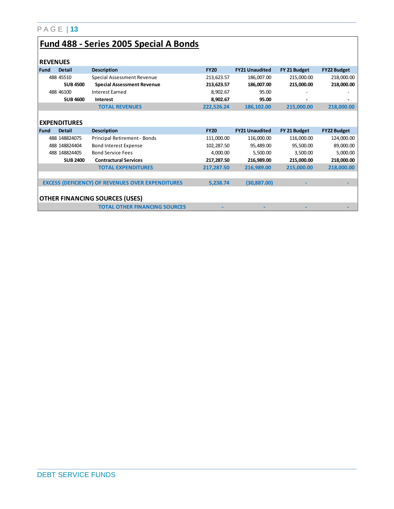# **Fund 488 - Series 2005 Special A Bonds**

| <b>REVENUES</b> |                     |                                                          |             |                       |              |                    |
|-----------------|---------------------|----------------------------------------------------------|-------------|-----------------------|--------------|--------------------|
| Fund            | <b>Detail</b>       | <b>Description</b>                                       | <b>FY20</b> | <b>FY21 Unaudited</b> | FY 21 Budget | <b>FY22 Budget</b> |
|                 | 488 45510           | Special Assessment Revenue                               | 213,623.57  | 186,007.00            | 215,000.00   | 218,000.00         |
|                 | <b>SUB4500</b>      | <b>Special Assessment Revenue</b>                        | 213,623.57  | 186,007.00            | 215,000.00   | 218,000.00         |
|                 | 488 46100           | Interest Earned                                          | 8,902.67    | 95.00                 |              |                    |
|                 | <b>SUB 4600</b>     | <b>Interest</b>                                          | 8,902.67    | 95.00                 |              |                    |
|                 |                     | <b>TOTAL REVENUES</b>                                    | 222,526.24  | 186,102.00            | 215,000.00   | 218,000.00         |
|                 |                     |                                                          |             |                       |              |                    |
|                 | <b>EXPENDITURES</b> |                                                          |             |                       |              |                    |
| <b>Fund</b>     | <b>Detail</b>       | <b>Description</b>                                       | <b>FY20</b> | <b>FY21 Unaudited</b> | FY 21 Budget | <b>FY22 Budget</b> |
|                 | 488 148824075       | Principal Retirement - Bonds                             | 111,000.00  | 116,000.00            | 116,000.00   | 124,000.00         |
|                 | 488 148824404       | <b>Bond Interest Expense</b>                             | 102,287.50  | 95,489.00             | 95,500.00    | 89,000.00          |
|                 | 488 148824405       | <b>Bond Service Fees</b>                                 | 4,000.00    | 5,500.00              | 3,500.00     | 5,000.00           |
|                 | <b>SUB 2400</b>     | <b>Contractural Services</b>                             | 217,287.50  | 216,989.00            | 215,000.00   | 218,000.00         |
|                 |                     | <b>TOTAL EXPENDITURES</b>                                | 217,287.50  | 216,989.00            | 215,000.00   | 218,000.00         |
|                 |                     |                                                          |             |                       |              |                    |
|                 |                     | <b>EXCESS (DEFICIENCY) OF REVENUES OVER EXPENDITURES</b> | 5,238.74    | (30, 887.00)          |              |                    |
|                 |                     |                                                          |             |                       |              |                    |
|                 |                     | <b>OTHER FINANCING SOURCES (USES)</b>                    |             |                       |              |                    |
|                 |                     | <b>TOTAL OTHER FINANCING SOURCES</b>                     |             |                       |              |                    |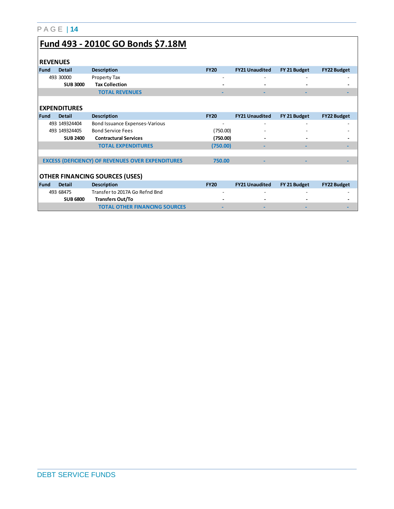|--|--|--|--|--|--|

# **Fund 493 - 2010C GO Bonds \$7.18M**

| <b>REVENUES</b>                       |                     |                                                          |             |                       |              |                    |
|---------------------------------------|---------------------|----------------------------------------------------------|-------------|-----------------------|--------------|--------------------|
|                                       |                     |                                                          |             |                       |              |                    |
| Fund                                  | <b>Detail</b>       | <b>Description</b>                                       | <b>FY20</b> | <b>FY21 Unaudited</b> | FY 21 Budget | <b>FY22 Budget</b> |
|                                       | 493 30000           | Property Tax                                             |             |                       |              |                    |
|                                       | <b>SUB 3000</b>     | <b>Tax Collection</b>                                    |             |                       |              |                    |
|                                       |                     | <b>TOTAL REVENUES</b>                                    |             |                       |              |                    |
|                                       |                     |                                                          |             |                       |              |                    |
|                                       | <b>EXPENDITURES</b> |                                                          |             |                       |              |                    |
| <b>Fund</b>                           | <b>Detail</b>       | <b>Description</b>                                       | <b>FY20</b> | <b>FY21 Unaudited</b> | FY 21 Budget | <b>FY22 Budget</b> |
|                                       | 493 149324404       | Bond Issuance Expenses-Various                           |             |                       |              |                    |
|                                       | 493 1493 24405      | <b>Bond Service Fees</b>                                 | (750.00)    |                       |              |                    |
|                                       | <b>SUB 2400</b>     | <b>Contractural Services</b>                             | (750.00)    |                       |              |                    |
|                                       |                     | <b>TOTAL EXPENDITURES</b>                                | (750.00)    |                       |              |                    |
|                                       |                     |                                                          |             |                       |              |                    |
|                                       |                     | <b>EXCESS (DEFICIENCY) OF REVENUES OVER EXPENDITURES</b> | 750.00      |                       |              |                    |
|                                       |                     |                                                          |             |                       |              |                    |
| <b>OTHER FINANCING SOURCES (USES)</b> |                     |                                                          |             |                       |              |                    |
| <b>Fund</b>                           | <b>Detail</b>       | <b>Description</b>                                       | <b>FY20</b> | <b>FY21 Unaudited</b> | FY 21 Budget | <b>FY22 Budget</b> |
|                                       | 493 68475           | Transfer to 2017A Go Refnd Bnd                           |             |                       |              |                    |
|                                       | <b>SUB 6800</b>     | <b>Transfers Out/To</b>                                  |             |                       |              |                    |
|                                       |                     | <b>TOTAL OTHER FINANCING SOURCES</b>                     |             |                       |              |                    |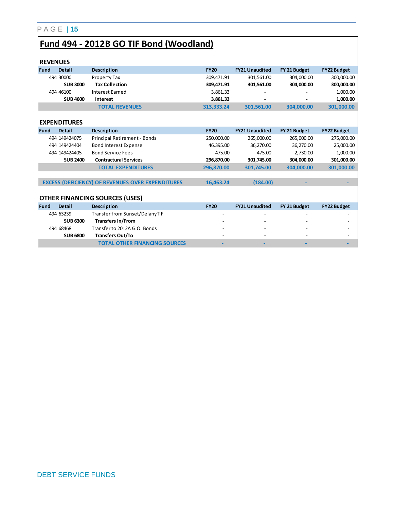# **Fund 494 - 2012B GO TIF Bond (Woodland)**

| <b>REVENUES</b> |                     |                                                          |             |                       |              |                    |
|-----------------|---------------------|----------------------------------------------------------|-------------|-----------------------|--------------|--------------------|
| Fund            | <b>Detail</b>       | <b>Description</b>                                       | <b>FY20</b> | <b>FY21 Unaudited</b> | FY 21 Budget | <b>FY22 Budget</b> |
|                 | 494 30000           | Property Tax                                             | 309,471.91  | 301,561.00            | 304,000.00   | 300,000.00         |
|                 | <b>SUB3000</b>      | <b>Tax Collection</b>                                    | 309,471.91  | 301,561.00            | 304,000.00   | 300,000.00         |
|                 | 494 46100           | <b>Interest Earned</b>                                   | 3,861.33    |                       |              | 1,000.00           |
|                 | <b>SUB 4600</b>     | Interest                                                 | 3,861.33    |                       |              | 1,000.00           |
|                 |                     | <b>TOTAL REVENUES</b>                                    | 313.333.24  | 301,561.00            | 304,000.00   | 301,000.00         |
|                 |                     |                                                          |             |                       |              |                    |
|                 | <b>EXPENDITURES</b> |                                                          |             |                       |              |                    |
| Fund            | <b>Detail</b>       | <b>Description</b>                                       | <b>FY20</b> | <b>FY21 Unaudited</b> | FY 21 Budget | <b>FY22 Budget</b> |
|                 | 494 1494 24075      | Principal Retirement - Bonds                             | 250,000.00  | 265,000.00            | 265,000.00   | 275,000.00         |
|                 | 494 1494 24404      | <b>Bond Interest Expense</b>                             | 46,395.00   | 36.270.00             | 36,270.00    | 25,000.00          |
|                 | 494 1494 24405      | <b>Bond Service Fees</b>                                 | 475.00      | 475.00                | 2,730.00     | 1,000.00           |
|                 | <b>SUB 2400</b>     | <b>Contractural Services</b>                             | 296,870.00  | 301,745.00            | 304.000.00   | 301,000.00         |
|                 |                     | <b>TOTAL EXPENDITURES</b>                                | 296,870.00  | 301,745.00            | 304,000.00   | 301,000.00         |
|                 |                     |                                                          |             |                       |              |                    |
|                 |                     | <b>EXCESS (DEFICIENCY) OF REVENUES OVER EXPENDITURES</b> | 16,463.24   | (184.00)              |              |                    |
|                 |                     |                                                          |             |                       |              |                    |
|                 |                     | <b>OTHER FINANCING SOURCES (USES)</b>                    |             |                       |              |                    |
| Fund            | <b>Detail</b>       | <b>Description</b>                                       | <b>FY20</b> | <b>FY21 Unaudited</b> | FY 21 Budget | <b>FY22 Budget</b> |
|                 | 494 63239           | Transfer from Sunset/DelanyTIF                           |             |                       |              |                    |
|                 | <b>SUB 6300</b>     | <b>Transfers In/From</b>                                 |             |                       |              |                    |
|                 | 494 68468           | Transfer to 2012A G.O. Bonds                             |             |                       |              |                    |
|                 | <b>SUB 6800</b>     | <b>Transfers Out/To</b>                                  |             |                       |              |                    |
|                 |                     | <b>TOTAL OTHER FINANCING SOURCES</b>                     |             |                       |              |                    |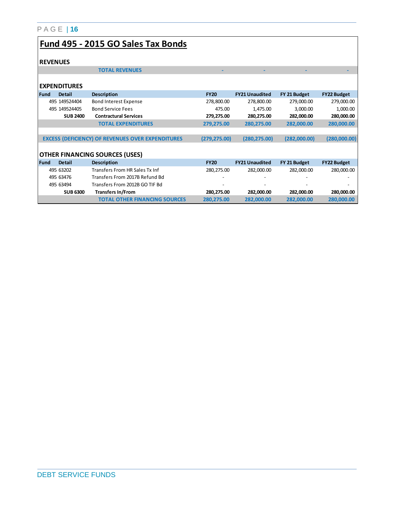### **Fund 495 - 2015 GO Sales Tax Bonds**

#### *<u>BEVENUES</u>*

| <b>I REVENUES</b> |                     |                                                          |               |                       |              |                    |
|-------------------|---------------------|----------------------------------------------------------|---------------|-----------------------|--------------|--------------------|
|                   |                     | <b>TOTAL REVENUES</b>                                    |               |                       |              |                    |
|                   |                     |                                                          |               |                       |              |                    |
|                   | <b>EXPENDITURES</b> |                                                          |               |                       |              |                    |
| Fund              | <b>Detail</b>       | <b>Description</b>                                       | <b>FY20</b>   | <b>FY21 Unaudited</b> | FY 21 Budget | <b>FY22 Budget</b> |
|                   | 495 1495 24404      | <b>Bond Interest Expense</b>                             | 278,800.00    | 278,800.00            | 279,000.00   | 279,000.00         |
|                   | 495 1495 24405      | <b>Bond Service Fees</b>                                 | 475.00        | 1,475.00              | 3,000.00     | 1,000.00           |
|                   | <b>SUB 2400</b>     | <b>Contractural Services</b>                             | 279,275.00    | 280,275.00            | 282,000.00   | 280,000.00         |
|                   |                     | <b>TOTAL EXPENDITURES</b>                                | 279,275.00    | 280,275.00            | 282,000.00   | 280,000.00         |
|                   |                     |                                                          |               |                       |              |                    |
|                   |                     | <b>EXCESS (DEFICIENCY) OF REVENUES OVER EXPENDITURES</b> | (279, 275.00) | (280, 275.00)         | (282,000.00) | (280,000.00)       |
|                   |                     |                                                          |               |                       |              |                    |
|                   |                     | <b>OTHER FINANCING SOURCES (USES)</b>                    |               |                       |              |                    |
| <b>Fund</b>       | <b>Detail</b>       | <b>Description</b>                                       | <b>FY20</b>   | <b>FY21 Unaudited</b> | FY 21 Budget | <b>FY22 Budget</b> |
|                   | 495 63202           | Transfers From HR Sales Tx Inf                           | 280, 275.00   | 282,000.00            | 282,000.00   | 280,000.00         |
|                   | 495 63476           | Transfers From 2017B Refund Bd                           |               |                       |              |                    |
|                   | 495 63494           | Transfers From 2012B GO TIF Bd                           |               |                       |              |                    |
|                   | <b>SUB 6300</b>     | <b>Transfers In/From</b>                                 | 280,275.00    | 282,000.00            | 282,000.00   | 280,000.00         |
|                   |                     | <b>TOTAL OTHER FINANCING SOURCES</b>                     | 280,275.00    | 282,000.00            | 282,000.00   | 280,000.00         |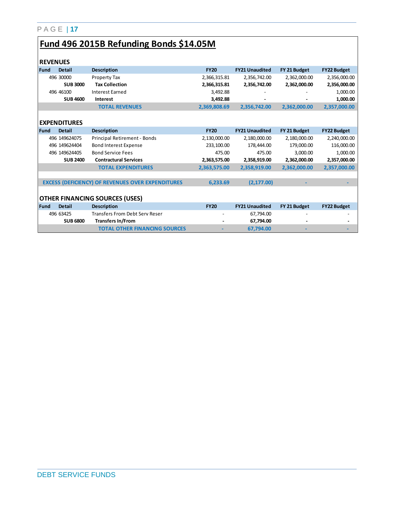# **Fund 496 2015B Refunding Bonds \$14.05M**

|             | <b>REVENUES</b>                       |                                                          |              |                       |              |                    |  |  |
|-------------|---------------------------------------|----------------------------------------------------------|--------------|-----------------------|--------------|--------------------|--|--|
| Fund        | <b>Detail</b>                         | <b>Description</b>                                       | <b>FY20</b>  | <b>FY21 Unaudited</b> | FY 21 Budget | <b>FY22 Budget</b> |  |  |
|             | 496 30000                             | Property Tax                                             | 2,366,315.81 | 2,356,742.00          | 2,362,000.00 | 2,356,000.00       |  |  |
|             | <b>SUB 3000</b>                       | <b>Tax Collection</b>                                    | 2,366,315.81 | 2,356,742.00          | 2,362,000.00 | 2,356,000.00       |  |  |
|             | 496 46100                             | <b>Interest Earned</b>                                   | 3.492.88     |                       |              | 1,000.00           |  |  |
|             | <b>SUB 4600</b>                       | Interest                                                 | 3,492.88     |                       |              | 1,000.00           |  |  |
|             |                                       | <b>TOTAL REVENUES</b>                                    | 2,369,808.69 | 2,356,742.00          | 2,362,000.00 | 2,357,000.00       |  |  |
|             |                                       |                                                          |              |                       |              |                    |  |  |
|             | <b>EXPENDITURES</b>                   |                                                          |              |                       |              |                    |  |  |
| <b>Fund</b> | <b>Detail</b>                         | <b>Description</b>                                       | <b>FY20</b>  | <b>FY21 Unaudited</b> | FY 21 Budget | <b>FY22 Budget</b> |  |  |
|             | 496 149624075                         | Principal Retirement - Bonds                             | 2,130,000.00 | 2,180,000.00          | 2,180,000.00 | 2,240,000.00       |  |  |
|             | 496 149624404                         | <b>Bond Interest Expense</b>                             | 233,100.00   | 178,444.00            | 179,000.00   | 116,000.00         |  |  |
|             | 496 149624405                         | <b>Bond Service Fees</b>                                 | 475.00       | 475.00                | 3,000.00     | 1,000.00           |  |  |
|             | <b>SUB 2400</b>                       | <b>Contractural Services</b>                             | 2,363,575.00 | 2,358,919.00          | 2,362,000.00 | 2,357,000.00       |  |  |
|             |                                       | <b>TOTAL EXPENDITURES</b>                                | 2,363,575.00 | 2,358,919.00          | 2,362,000.00 | 2,357,000.00       |  |  |
|             |                                       |                                                          |              |                       |              |                    |  |  |
|             |                                       | <b>EXCESS (DEFICIENCY) OF REVENUES OVER EXPENDITURES</b> | 6,233.69     | (2, 177.00)           |              |                    |  |  |
|             |                                       |                                                          |              |                       |              |                    |  |  |
|             | <b>OTHER FINANCING SOURCES (USES)</b> |                                                          |              |                       |              |                    |  |  |
| l Fund      | <b>Detail</b>                         | <b>Description</b>                                       | <b>FY20</b>  | <b>FY21 Unaudited</b> | FY 21 Budget | <b>FY22 Budget</b> |  |  |
|             | 496 63425                             | <b>Transfers From Debt Serv Reser</b>                    |              | 67,794.00             |              |                    |  |  |
|             | <b>SUB 6800</b>                       | <b>Transfers In/From</b>                                 |              | 67,794.00             |              |                    |  |  |
|             |                                       | <b>TOTAL OTHER FINANCING SOURCES</b>                     |              | 67,794.00             |              |                    |  |  |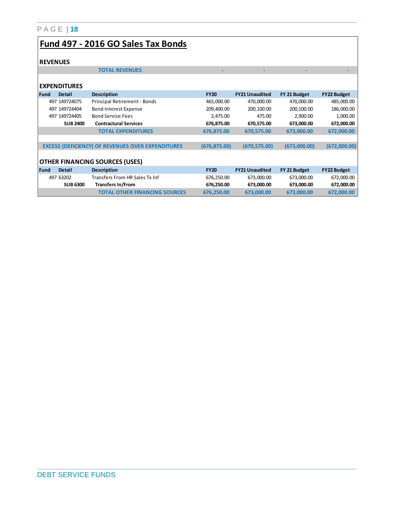#### P A G E | **18 Fund 497 - 2016 GO Sales Tax Bonds REVENUES TOTAL REVENUES EXPENDITURES Fund Detail Description FY20 FY21 Unaudited FY 21 Budget FY22 Budget**  497 149724075 Principal Retirement - Bonds 465,000.00 470,000.00 470,000.00 485,000.00 497 149724404 Bond Interest Expense 209,400.00 200,100.00 200,100.00 186,000.00 497 149724405 Bond Service Fees 2,475.00 475.00 2,900.00 1,000.00 **SUB 2400 Contractural Services 676,875.00 670,575.00 673,000.00 672,000.00 TOTAL EXPENDITURES 676,875.00 670,575.00 673,000.00 672,000.00**

|      |                 | <b>EXCESS (DEFICIENCY) OF REVENUES OVER EXPENDITURES</b> | (676, 875.00) | (670, 575.00)         | (673,000.00) | (672,000.00)       |
|------|-----------------|----------------------------------------------------------|---------------|-----------------------|--------------|--------------------|
|      |                 |                                                          |               |                       |              |                    |
|      |                 | <b>OTHER FINANCING SOURCES (USES)</b>                    |               |                       |              |                    |
| Fund | <b>Detail</b>   | <b>Description</b>                                       | <b>FY20</b>   | <b>FY21 Unaudited</b> | FY 21 Budget | <b>FY22 Budget</b> |
|      | 497 63202       | Transfers From HR Sales Tx Inf                           | 676,250.00    | 673,000.00            | 673,000.00   | 672,000.00         |
|      | <b>SUB 6300</b> | <b>Transfers In/From</b>                                 | 676,250.00    | 673,000.00            | 673,000.00   | 672,000.00         |
|      |                 | <b>TOTAL OTHER FINANCING SOURCES</b>                     | 676.250.00    | 673.000.00            | 673,000,00   | 672.000.00         |